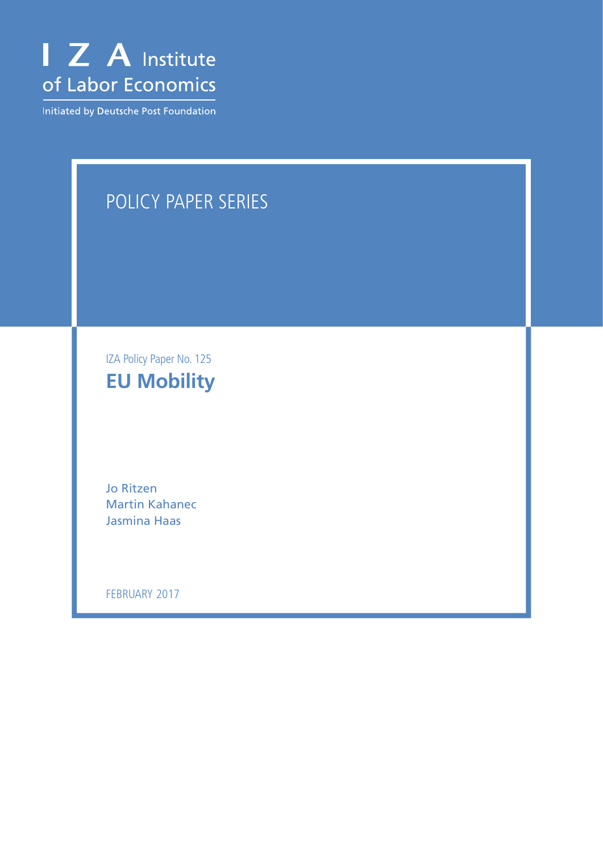

Initiated by Deutsche Post Foundation

# POLICY PAPER SERIES

IZA Policy Paper No. 125 **EU Mobility**

Jo Ritzen Martin Kahanec Jasmina Haas

FEBRUARY 2017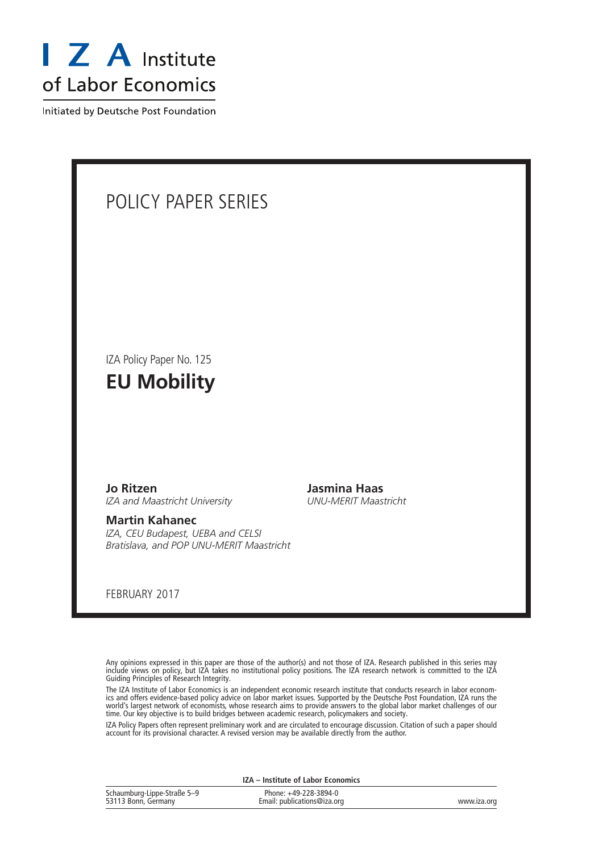

Initiated by Deutsche Post Foundation

# POLICY PAPER SERIES IZA Policy Paper No. 125 **EU Mobility Jo Ritzen Jasmina Haas** *UNU-MERIT Maastricht*

*IZA and Maastricht University*

**Martin Kahanec** *IZA, CEU Budapest, UEBA and CELSI Bratislava, and POP UNU-MERIT Maastricht*

FEBRUARY 2017

Any opinions expressed in this paper are those of the author(s) and not those of IZA. Research published in this series may include views on policy, but IZA takes no institutional policy positions. The IZA research network is committed to the IZA Guiding Principles of Research Integrity.

The IZA Institute of Labor Economics is an independent economic research institute that conducts research in labor economics and offers evidence-based policy advice on labor market issues. Supported by the Deutsche Post Foundation, IZA runs the world's largest network of economists, whose research aims to provide answers to the global labor market challenges of our time. Our key objective is to build bridges between academic research, policymakers and society.

IZA Policy Papers often represent preliminary work and are circulated to encourage discussion. Citation of such a paper should account for its provisional character. A revised version may be available directly from the author.

**IZA – Institute of Labor Economics**

| Schaumburg-Lippe-Straße 5-9<br>53113 Bonn, Germany | Phone: +49-228-3894-0<br>Email: publications@iza.org | www.iza.org |
|----------------------------------------------------|------------------------------------------------------|-------------|
|                                                    |                                                      |             |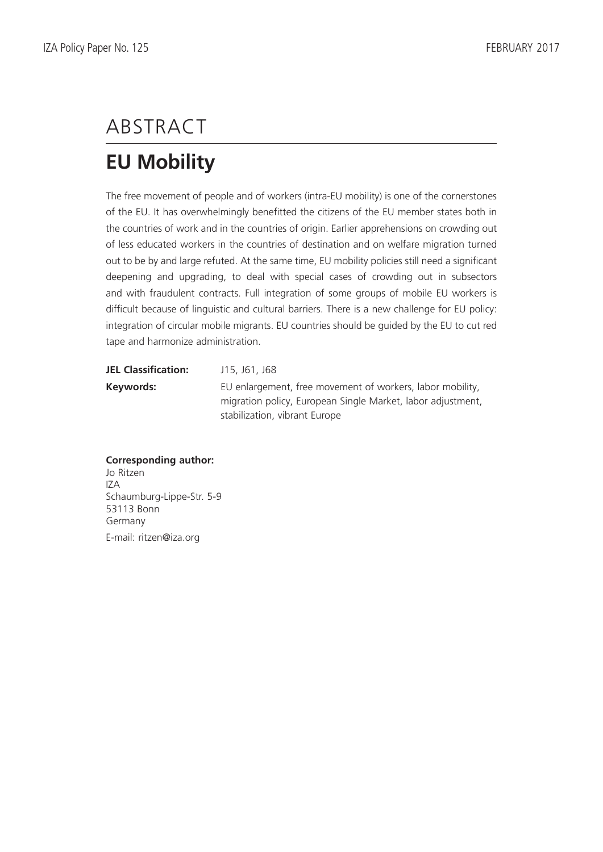# ABSTRACT

# **EU Mobility**

The free movement of people and of workers (intra-EU mobility) is one of the cornerstones of the EU. It has overwhelmingly benefitted the citizens of the EU member states both in the countries of work and in the countries of origin. Earlier apprehensions on crowding out of less educated workers in the countries of destination and on welfare migration turned out to be by and large refuted. At the same time, EU mobility policies still need a significant deepening and upgrading, to deal with special cases of crowding out in subsectors and with fraudulent contracts. Full integration of some groups of mobile EU workers is difficult because of linguistic and cultural barriers. There is a new challenge for EU policy: integration of circular mobile migrants. EU countries should be guided by the EU to cut red tape and harmonize administration.

| <b>JEL Classification:</b> | J15, J61, J68                                               |
|----------------------------|-------------------------------------------------------------|
| Keywords:                  | EU enlargement, free movement of workers, labor mobility,   |
|                            | migration policy, European Single Market, labor adjustment, |
|                            | stabilization, vibrant Europe                               |

#### **Corresponding author:**

Jo Ritzen IZA Schaumburg-Lippe-Str. 5-9 53113 Bonn Germany E-mail: ritzen@iza.org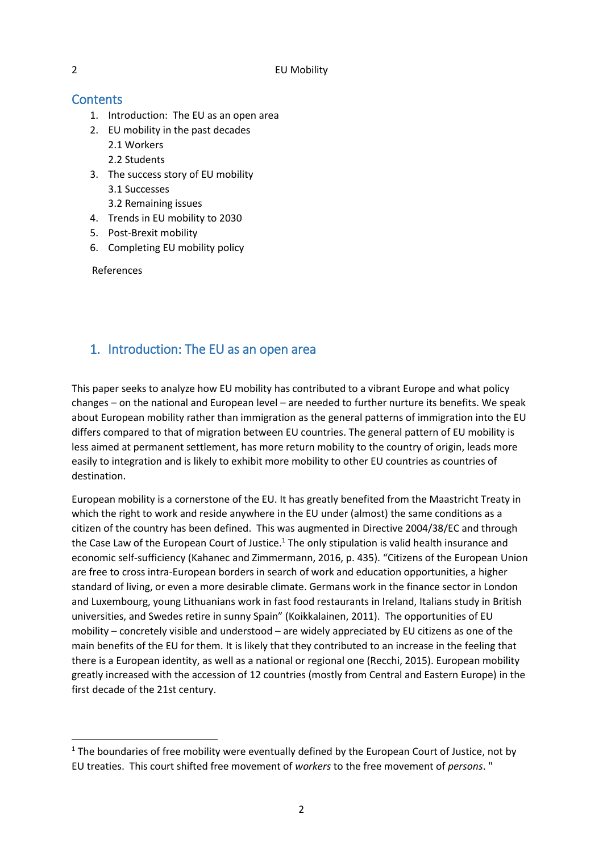## **Contents**

- 1. Introduction: The EU as an open area
- 2. EU mobility in the past decades 2.1 Workers
	- 2.2 Students
- 3. The success story of EU mobility
	- 3.1 Successes
	- 3.2 Remaining issues
- 4. Trends in EU mobility to 2030
- 5. Post-Brexit mobility
- 6. Completing EU mobility policy

References

**.** 

## 1. Introduction: The EU as an open area

This paper seeks to analyze how EU mobility has contributed to a vibrant Europe and what policy changes – on the national and European level – are needed to further nurture its benefits. We speak about European mobility rather than immigration as the general patterns of immigration into the EU differs compared to that of migration between EU countries. The general pattern of EU mobility is less aimed at permanent settlement, has more return mobility to the country of origin, leads more easily to integration and is likely to exhibit more mobility to other EU countries as countries of destination.

European mobility is a cornerstone of the EU. It has greatly benefited from the Maastricht Treaty in which the right to work and reside anywhere in the EU under (almost) the same conditions as a citizen of the country has been defined. This was augmented in Directive 2004/38/EC and through the Case Law of the European Court of Justice.<sup>1</sup> The only stipulation is valid health insurance and economic self-sufficiency (Kahanec and Zimmermann, 2016, p. 435). "Citizens of the European Union are free to cross intra-European borders in search of work and education opportunities, a higher standard of living, or even a more desirable climate. Germans work in the finance sector in London and Luxembourg, young Lithuanians work in fast food restaurants in Ireland, Italians study in British universities, and Swedes retire in sunny Spain" (Koikkalainen, 2011). The opportunities of EU mobility – concretely visible and understood – are widely appreciated by EU citizens as one of the main benefits of the EU for them. It is likely that they contributed to an increase in the feeling that there is a European identity, as well as a national or regional one (Recchi, 2015). European mobility greatly increased with the accession of 12 countries (mostly from Central and Eastern Europe) in the first decade of the 21st century.

<sup>&</sup>lt;sup>1</sup> The boundaries of free mobility were eventually defined by the European Court of Justice, not by EU treaties. This court shifted free movement of *workers* to the free movement of *persons*. "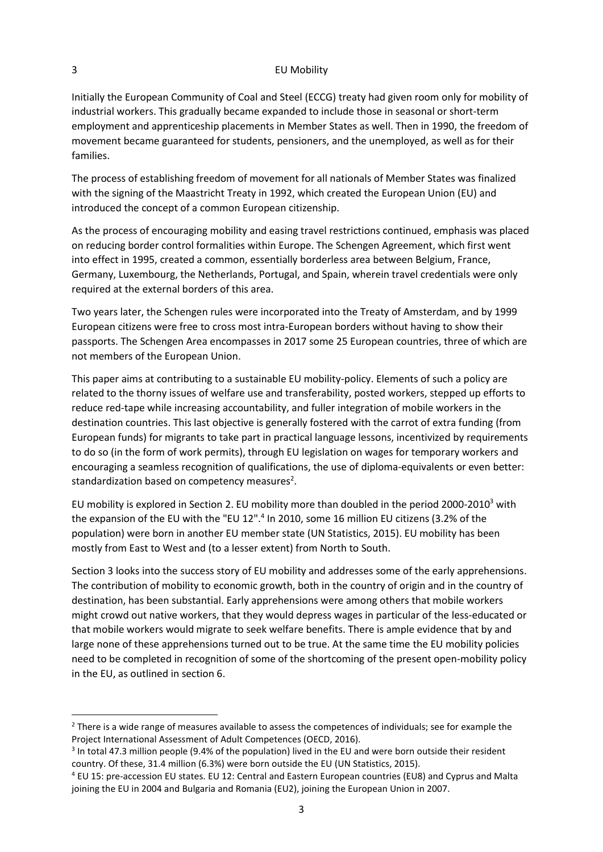Initially the European Community of Coal and Steel (ECCG) treaty had given room only for mobility of industrial workers. This gradually became expanded to include those in seasonal or short-term employment and apprenticeship placements in Member States as well. Then in 1990, the freedom of movement became guaranteed for students, pensioners, and the unemployed, as well as for their families.

The process of establishing freedom of movement for all nationals of Member States was finalized with the signing of the Maastricht Treaty in 1992, which created the European Union (EU) and introduced the concept of a common European citizenship.

As the process of encouraging mobility and easing travel restrictions continued, emphasis was placed on reducing border control formalities within Europe. The Schengen Agreement, which first went into effect in 1995, created a common, essentially borderless area between Belgium, France, Germany, Luxembourg, the Netherlands, Portugal, and Spain, wherein travel credentials were only required at the external borders of this area.

Two years later, the Schengen rules were incorporated into the Treaty of Amsterdam, and by 1999 European citizens were free to cross most intra-European borders without having to show their passports. The Schengen Area encompasses in 2017 some 25 European countries, three of which are not members of the European Union.

This paper aims at contributing to a sustainable EU mobility-policy. Elements of such a policy are related to the thorny issues of welfare use and transferability, posted workers, stepped up efforts to reduce red-tape while increasing accountability, and fuller integration of mobile workers in the destination countries. This last objective is generally fostered with the carrot of extra funding (from European funds) for migrants to take part in practical language lessons, incentivized by requirements to do so (in the form of work permits), through EU legislation on wages for temporary workers and encouraging a seamless recognition of qualifications, the use of diploma-equivalents or even better: standardization based on competency measures<sup>2</sup>.

EU mobility is explored in Section 2. EU mobility more than doubled in the period 2000-2010<sup>3</sup> with the expansion of the EU with the "EU 12".<sup>4</sup> In 2010, some 16 million EU citizens (3.2% of the population) were born in another EU member state (UN Statistics, 2015). EU mobility has been mostly from East to West and (to a lesser extent) from North to South.

Section 3 looks into the success story of EU mobility and addresses some of the early apprehensions. The contribution of mobility to economic growth, both in the country of origin and in the country of destination, has been substantial. Early apprehensions were among others that mobile workers might crowd out native workers, that they would depress wages in particular of the less-educated or that mobile workers would migrate to seek welfare benefits. There is ample evidence that by and large none of these apprehensions turned out to be true. At the same time the EU mobility policies need to be completed in recognition of some of the shortcoming of the present open-mobility policy in the EU, as outlined in section 6.

**.** 

 $2$  There is a wide range of measures available to assess the competences of individuals; see for example the Project International Assessment of Adult Competences (OECD, 2016).

<sup>&</sup>lt;sup>3</sup> In total 47.3 million people (9.4% of the population) lived in the EU and were born outside their resident country. Of these, 31.4 million (6.3%) were born outside the EU (UN Statistics, 2015).

<sup>4</sup> EU 15: pre-accession EU states. EU 12: Central and Eastern European countries (EU8) and Cyprus and Malta joining the EU in 2004 and Bulgaria and Romania (EU2), joining the European Union in 2007.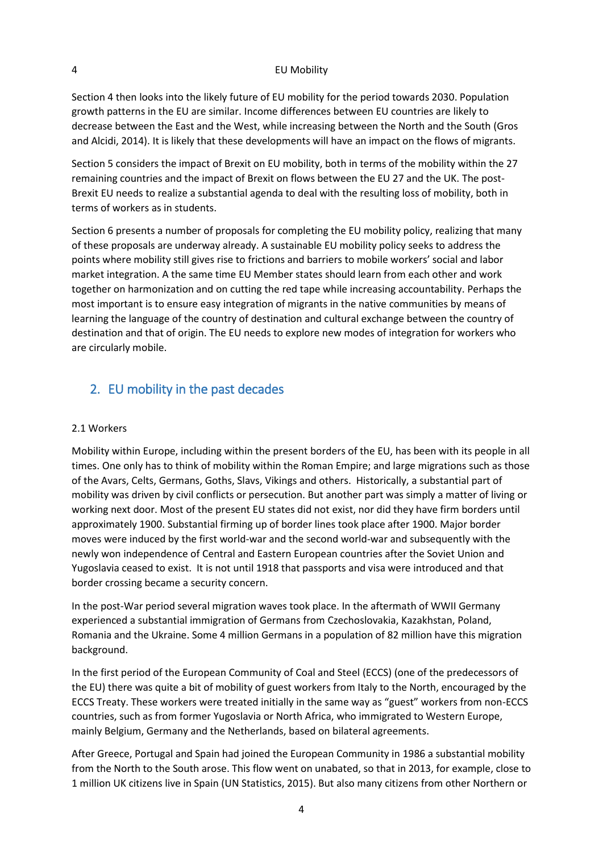Section 4 then looks into the likely future of EU mobility for the period towards 2030. Population growth patterns in the EU are similar. Income differences between EU countries are likely to decrease between the East and the West, while increasing between the North and the South (Gros and Alcidi, 2014). It is likely that these developments will have an impact on the flows of migrants.

Section 5 considers the impact of Brexit on EU mobility, both in terms of the mobility within the 27 remaining countries and the impact of Brexit on flows between the EU 27 and the UK. The post-Brexit EU needs to realize a substantial agenda to deal with the resulting loss of mobility, both in terms of workers as in students.

Section 6 presents a number of proposals for completing the EU mobility policy, realizing that many of these proposals are underway already. A sustainable EU mobility policy seeks to address the points where mobility still gives rise to frictions and barriers to mobile workers' social and labor market integration. A the same time EU Member states should learn from each other and work together on harmonization and on cutting the red tape while increasing accountability. Perhaps the most important is to ensure easy integration of migrants in the native communities by means of learning the language of the country of destination and cultural exchange between the country of destination and that of origin. The EU needs to explore new modes of integration for workers who are circularly mobile.

## 2. EU mobility in the past decades

#### 2.1 Workers

Mobility within Europe, including within the present borders of the EU, has been with its people in all times. One only has to think of mobility within the Roman Empire; and large migrations such as those of the Avars, Celts, Germans, Goths, Slavs, Vikings and others. Historically, a substantial part of mobility was driven by civil conflicts or persecution. But another part was simply a matter of living or working next door. Most of the present EU states did not exist, nor did they have firm borders until approximately 1900. Substantial firming up of border lines took place after 1900. Major border moves were induced by the first world-war and the second world-war and subsequently with the newly won independence of Central and Eastern European countries after the Soviet Union and Yugoslavia ceased to exist. It is not until 1918 that passports and visa were introduced and that border crossing became a security concern.

In the post-War period several migration waves took place. In the aftermath of WWII Germany experienced a substantial immigration of Germans from Czechoslovakia, Kazakhstan, Poland, Romania and the Ukraine. Some 4 million Germans in a population of 82 million have this migration background.

In the first period of the European Community of Coal and Steel (ECCS) (one of the predecessors of the EU) there was quite a bit of mobility of guest workers from Italy to the North, encouraged by the ECCS Treaty. These workers were treated initially in the same way as "guest" workers from non-ECCS countries, such as from former Yugoslavia or North Africa, who immigrated to Western Europe, mainly Belgium, Germany and the Netherlands, based on bilateral agreements.

After Greece, Portugal and Spain had joined the European Community in 1986 a substantial mobility from the North to the South arose. This flow went on unabated, so that in 2013, for example, close to 1 million UK citizens live in Spain (UN Statistics, 2015). But also many citizens from other Northern or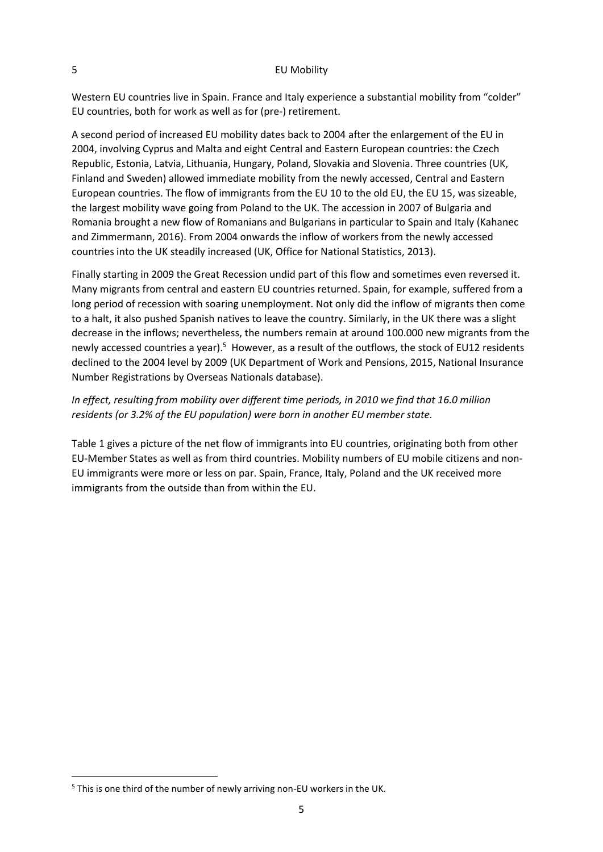Western EU countries live in Spain. France and Italy experience a substantial mobility from "colder" EU countries, both for work as well as for (pre-) retirement.

A second period of increased EU mobility dates back to 2004 after the enlargement of the EU in 2004, involving Cyprus and Malta and eight Central and Eastern European countries: the Czech Republic, Estonia, Latvia, Lithuania, Hungary, Poland, Slovakia and Slovenia. Three countries (UK, Finland and Sweden) allowed immediate mobility from the newly accessed, Central and Eastern European countries. The flow of immigrants from the EU 10 to the old EU, the EU 15, was sizeable, the largest mobility wave going from Poland to the UK. The accession in 2007 of Bulgaria and Romania brought a new flow of Romanians and Bulgarians in particular to Spain and Italy (Kahanec and Zimmermann, 2016). From 2004 onwards the inflow of workers from the newly accessed countries into the UK steadily increased (UK, Office for National Statistics, 2013).

Finally starting in 2009 the Great Recession undid part of this flow and sometimes even reversed it. Many migrants from central and eastern EU countries returned. Spain, for example, suffered from a long period of recession with soaring unemployment. Not only did the inflow of migrants then come to a halt, it also pushed Spanish natives to leave the country. Similarly, in the UK there was a slight decrease in the inflows; nevertheless, the numbers remain at around 100.000 new migrants from the newly accessed countries a year).<sup>5</sup> However, as a result of the outflows, the stock of EU12 residents declined to the 2004 level by 2009 (UK Department of Work and Pensions, 2015, National Insurance Number Registrations by Overseas Nationals database).

#### *In effect, resulting from mobility over different time periods, in 2010 we find that 16.0 million residents (or 3.2% of the EU population) were born in another EU member state.*

Table 1 gives a picture of the net flow of immigrants into EU countries, originating both from other EU-Member States as well as from third countries. Mobility numbers of EU mobile citizens and non-EU immigrants were more or less on par. Spain, France, Italy, Poland and the UK received more immigrants from the outside than from within the EU.

**.** 

<sup>&</sup>lt;sup>5</sup> This is one third of the number of newly arriving non-EU workers in the UK.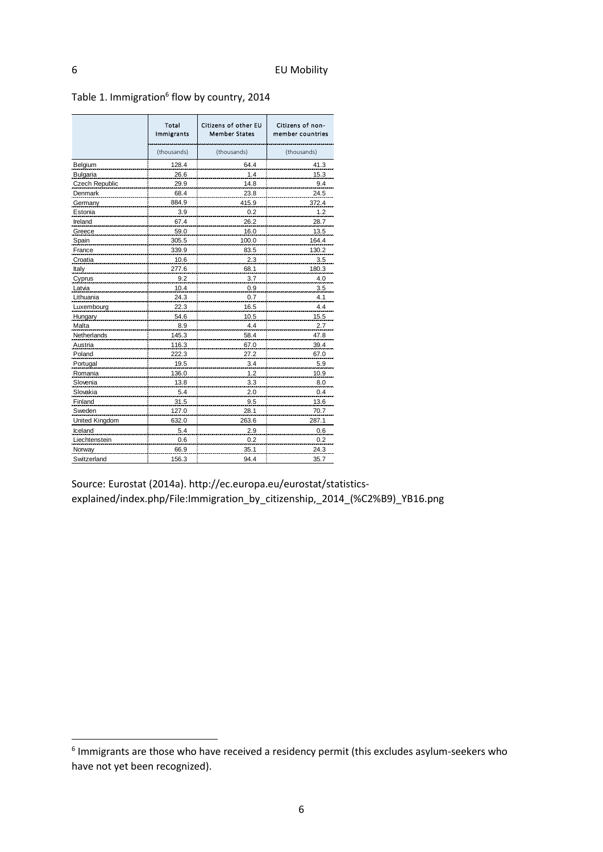|                | Total<br>Immigrants | Citizens of other EU<br><b>Member States</b> | Citizens of non-<br>member countries |
|----------------|---------------------|----------------------------------------------|--------------------------------------|
|                | (thousands)         | (thousands)                                  | (thousands)                          |
| Belgium        | 128.4               | 64.4                                         | 41.3                                 |
| Bulgaria       | 26.6                | 1.4                                          | 15.3                                 |
| Czech Republic | 29.9                | 14.8                                         | 9.4                                  |
| Denmark        | 68.4                | 23.8                                         | 24.5                                 |
| Germany        | 884.9               | 415.9                                        | 372.4                                |
| Estonia        | 3.9                 | 0.2                                          | 1.2                                  |
| Ireland        | 67.4                | 26.2                                         | 28.7                                 |
| Greece         | 59.0                | 16.0                                         | 13.5                                 |
| Spain          | 305.5               | 100.0                                        | 164.4                                |
| France         | 339.9               | 83.5                                         | 130.2                                |
| Croatia        | 10.6                | 2.3                                          | 3.5                                  |
| Italy          | 277.6               | 68.1                                         | 180.3                                |
| Cyprus         | 9.2                 | 3.7                                          | 4.0                                  |
| Latvia         | 10.4                | 0.9                                          | 3.5                                  |
| Lithuania      | 24.3                | 0.7                                          | 4.1                                  |
| Luxembourg     | 22.3                | 16.5                                         | 4.4                                  |
| Hungary        | 54.6                | 10.5                                         | 15.5                                 |
| Malta          | 8.9                 | 4.4                                          | 2.7                                  |
| Netherlands    | 145.3               | 58.4                                         | 47.8                                 |
| Austria        | 116.3               | 67.0                                         | 39.4                                 |
| Poland         | 222.3               | 27.2                                         | 67.0                                 |
| Portugal       | 19.5                | 3.4                                          | 5.9                                  |
| Romania        | 136.0               | 1.2                                          | 10.9                                 |
| Slovenia       | 13.8                | 3.3                                          | 8.0                                  |
| Slovakia       | 5.4                 | 2.0                                          | 0.4                                  |
| Finland        | 31.5                | 9.5                                          | 13.6                                 |
| Sweden         | 127.0               | 28.1                                         | 70.7                                 |
| United Kingdom | 632.0               | 263.6                                        | 287.1                                |
| Iceland        | 5.4                 | 2.9                                          | 0.6                                  |
| Liechtenstein  | 0.6                 | 0.2                                          | 0.2                                  |
| Norway         | 66.9                | 35.1                                         | 24.3                                 |
| Switzerland    | 156.3               | 94.4                                         | 35.7                                 |

**.** 

#### Table 1. Immigration<sup>6</sup> flow by country, 2014

Source: Eurostat (2014a). http://ec.europa.eu/eurostat/statisticsexplained/index.php/File:Immigration\_by\_citizenship,\_2014\_(%C2%B9)\_YB16.png

<sup>&</sup>lt;sup>6</sup> Immigrants are those who have received a residency permit (this excludes asylum-seekers who have not yet been recognized).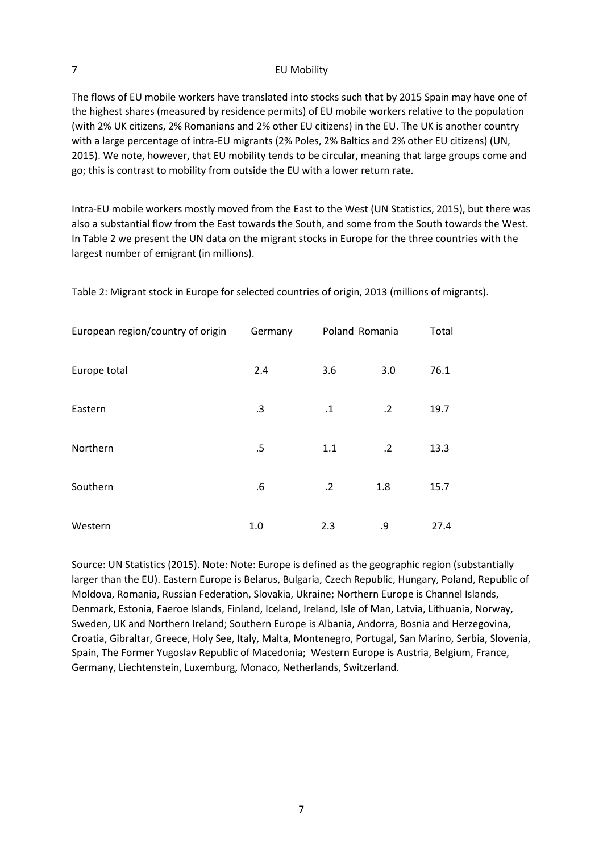The flows of EU mobile workers have translated into stocks such that by 2015 Spain may have one of the highest shares (measured by residence permits) of EU mobile workers relative to the population (with 2% UK citizens, 2% Romanians and 2% other EU citizens) in the EU. The UK is another country with a large percentage of intra-EU migrants (2% Poles, 2% Baltics and 2% other EU citizens) (UN, 2015). We note, however, that EU mobility tends to be circular, meaning that large groups come and go; this is contrast to mobility from outside the EU with a lower return rate.

Intra-EU mobile workers mostly moved from the East to the West (UN Statistics, 2015), but there was also a substantial flow from the East towards the South, and some from the South towards the West. In Table 2 we present the UN data on the migrant stocks in Europe for the three countries with the largest number of emigrant (in millions).

| European region/country of origin | Germany |            | Poland Romania | Total |
|-----------------------------------|---------|------------|----------------|-------|
| Europe total                      | 2.4     | 3.6        | 3.0            | 76.1  |
| Eastern                           | .3      | $\cdot$ 1  | $\cdot$ .2     | 19.7  |
| Northern                          | .5      | 1.1        | $\cdot$ .2     | 13.3  |
| Southern                          | .6      | $\cdot$ .2 | 1.8            | 15.7  |
| Western                           | 1.0     | 2.3        | .9             | 27.4  |

Table 2: Migrant stock in Europe for selected countries of origin, 2013 (millions of migrants).

Source: UN Statistics (2015). Note: Note: Europe is defined as the geographic region (substantially larger than the EU). Eastern Europe is Belarus, Bulgaria, Czech Republic, Hungary, Poland, Republic of Moldova, Romania, Russian Federation, Slovakia, Ukraine; Northern Europe is Channel Islands, Denmark, Estonia, Faeroe Islands, Finland, Iceland, Ireland, Isle of Man, Latvia, Lithuania, Norway, Sweden, UK and Northern Ireland; Southern Europe is Albania, Andorra, Bosnia and Herzegovina, Croatia, Gibraltar, Greece, Holy See, Italy, Malta, Montenegro, Portugal, San Marino, Serbia, Slovenia, Spain, The Former Yugoslav Republic of Macedonia; Western Europe is Austria, Belgium, France, Germany, Liechtenstein, Luxemburg, Monaco, Netherlands, Switzerland.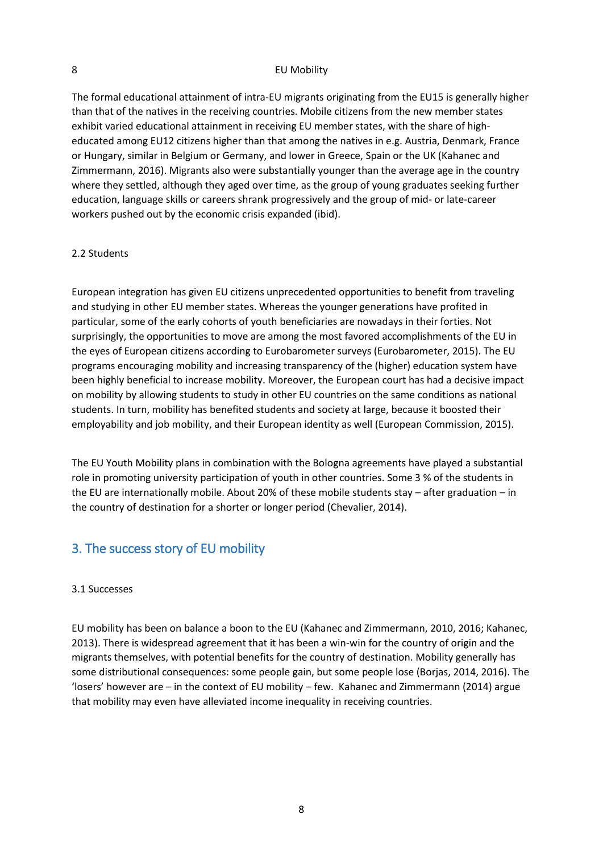#### 8 Block EU Mobility

The formal educational attainment of intra-EU migrants originating from the EU15 is generally higher than that of the natives in the receiving countries. Mobile citizens from the new member states exhibit varied educational attainment in receiving EU member states, with the share of higheducated among EU12 citizens higher than that among the natives in e.g. Austria, Denmark, France or Hungary, similar in Belgium or Germany, and lower in Greece, Spain or the UK (Kahanec and Zimmermann, 2016). Migrants also were substantially younger than the average age in the country where they settled, although they aged over time, as the group of young graduates seeking further education, language skills or careers shrank progressively and the group of mid- or late-career workers pushed out by the economic crisis expanded (ibid).

#### 2.2 Students

European integration has given EU citizens unprecedented opportunities to benefit from traveling and studying in other EU member states. Whereas the younger generations have profited in particular, some of the early cohorts of youth beneficiaries are nowadays in their forties. Not surprisingly, the opportunities to move are among the most favored accomplishments of the EU in the eyes of European citizens according to Eurobarometer surveys (Eurobarometer, 2015). The EU programs encouraging mobility and increasing transparency of the (higher) education system have been highly beneficial to increase mobility. Moreover, the European court has had a decisive impact on mobility by allowing students to study in other EU countries on the same conditions as national students. In turn, mobility has benefited students and society at large, because it boosted their employability and job mobility, and their European identity as well (European Commission, 2015).

The EU Youth Mobility plans in combination with the Bologna agreements have played a substantial role in promoting university participation of youth in other countries. Some 3 % of the students in the EU are internationally mobile. About 20% of these mobile students stay – after graduation – in the country of destination for a shorter or longer period (Chevalier, 2014).

#### 3. The success story of EU mobility

#### 3.1 Successes

EU mobility has been on balance a boon to the EU (Kahanec and Zimmermann, 2010, 2016; Kahanec, 2013). There is widespread agreement that it has been a win-win for the country of origin and the migrants themselves, with potential benefits for the country of destination. Mobility generally has some distributional consequences: some people gain, but some people lose (Borjas, 2014, 2016). The 'losers' however are – in the context of EU mobility – few. Kahanec and Zimmermann (2014) argue that mobility may even have alleviated income inequality in receiving countries.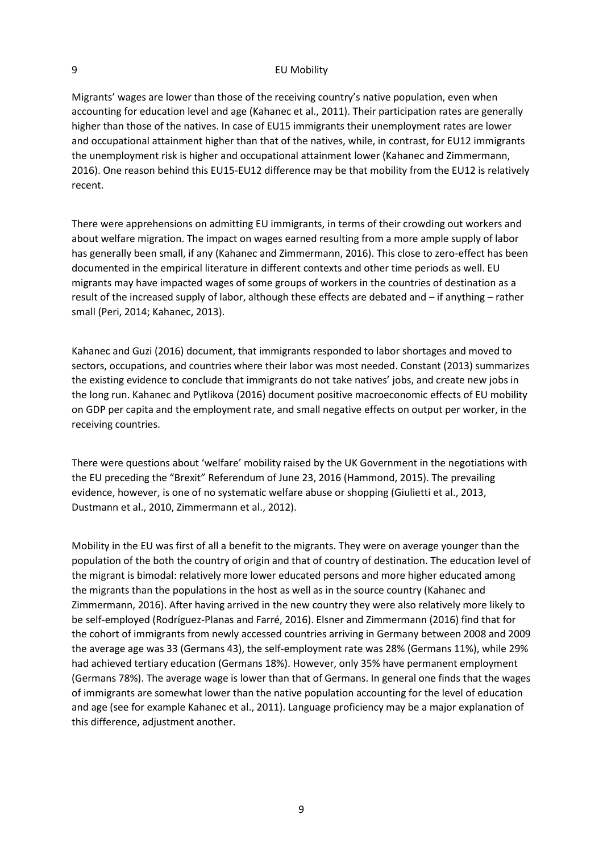Migrants' wages are lower than those of the receiving country's native population, even when accounting for education level and age (Kahanec et al., 2011). Their participation rates are generally higher than those of the natives. In case of EU15 immigrants their unemployment rates are lower and occupational attainment higher than that of the natives, while, in contrast, for EU12 immigrants the unemployment risk is higher and occupational attainment lower (Kahanec and Zimmermann, 2016). One reason behind this EU15-EU12 difference may be that mobility from the EU12 is relatively recent.

There were apprehensions on admitting EU immigrants, in terms of their crowding out workers and about welfare migration. The impact on wages earned resulting from a more ample supply of labor has generally been small, if any (Kahanec and Zimmermann, 2016). This close to zero-effect has been documented in the empirical literature in different contexts and other time periods as well. EU migrants may have impacted wages of some groups of workers in the countries of destination as a result of the increased supply of labor, although these effects are debated and – if anything – rather small (Peri, 2014; Kahanec, 2013).

Kahanec and Guzi (2016) document, that immigrants responded to labor shortages and moved to sectors, occupations, and countries where their labor was most needed. Constant (2013) summarizes the existing evidence to conclude that immigrants do not take natives' jobs, and create new jobs in the long run. Kahanec and Pytlikova (2016) document positive macroeconomic effects of EU mobility on GDP per capita and the employment rate, and small negative effects on output per worker, in the receiving countries.

There were questions about 'welfare' mobility raised by the UK Government in the negotiations with the EU preceding the "Brexit" Referendum of June 23, 2016 (Hammond, 2015). The prevailing evidence, however, is one of no systematic welfare abuse or shopping (Giulietti et al., 2013, Dustmann et al., 2010, Zimmermann et al., 2012).

Mobility in the EU was first of all a benefit to the migrants. They were on average younger than the population of the both the country of origin and that of country of destination. The education level of the migrant is bimodal: relatively more lower educated persons and more higher educated among the migrants than the populations in the host as well as in the source country (Kahanec and Zimmermann, 2016). After having arrived in the new country they were also relatively more likely to be self-employed (Rodríguez-Planas and Farré, 2016). Elsner and Zimmermann (2016) find that for the cohort of immigrants from newly accessed countries arriving in Germany between 2008 and 2009 the average age was 33 (Germans 43), the self-employment rate was 28% (Germans 11%), while 29% had achieved tertiary education (Germans 18%). However, only 35% have permanent employment (Germans 78%). The average wage is lower than that of Germans. In general one finds that the wages of immigrants are somewhat lower than the native population accounting for the level of education and age (see for example Kahanec et al., 2011). Language proficiency may be a major explanation of this difference, adjustment another.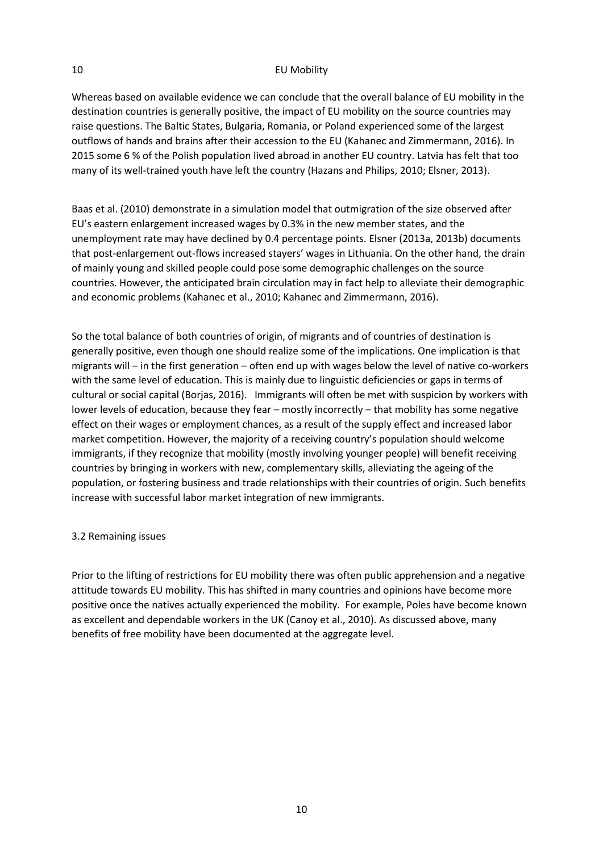Whereas based on available evidence we can conclude that the overall balance of EU mobility in the destination countries is generally positive, the impact of EU mobility on the source countries may raise questions. The Baltic States, Bulgaria, Romania, or Poland experienced some of the largest outflows of hands and brains after their accession to the EU (Kahanec and Zimmermann, 2016). In 2015 some 6 % of the Polish population lived abroad in another EU country. Latvia has felt that too many of its well-trained youth have left the country (Hazans and Philips, 2010; Elsner, 2013).

Baas et al. (2010) demonstrate in a simulation model that outmigration of the size observed after EU's eastern enlargement increased wages by 0.3% in the new member states, and the unemployment rate may have declined by 0.4 percentage points. Elsner (2013a, 2013b) documents that post-enlargement out-flows increased stayers' wages in Lithuania. On the other hand, the drain of mainly young and skilled people could pose some demographic challenges on the source countries. However, the anticipated brain circulation may in fact help to alleviate their demographic and economic problems (Kahanec et al., 2010; Kahanec and Zimmermann, 2016).

So the total balance of both countries of origin, of migrants and of countries of destination is generally positive, even though one should realize some of the implications. One implication is that migrants will – in the first generation – often end up with wages below the level of native co-workers with the same level of education. This is mainly due to linguistic deficiencies or gaps in terms of cultural or social capital (Borjas, 2016). Immigrants will often be met with suspicion by workers with lower levels of education, because they fear – mostly incorrectly – that mobility has some negative effect on their wages or employment chances, as a result of the supply effect and increased labor market competition. However, the majority of a receiving country's population should welcome immigrants, if they recognize that mobility (mostly involving younger people) will benefit receiving countries by bringing in workers with new, complementary skills, alleviating the ageing of the population, or fostering business and trade relationships with their countries of origin. Such benefits increase with successful labor market integration of new immigrants.

#### 3.2 Remaining issues

Prior to the lifting of restrictions for EU mobility there was often public apprehension and a negative attitude towards EU mobility. This has shifted in many countries and opinions have become more positive once the natives actually experienced the mobility. For example, Poles have become known as excellent and dependable workers in the UK (Canoy et al., 2010). As discussed above, many benefits of free mobility have been documented at the aggregate level.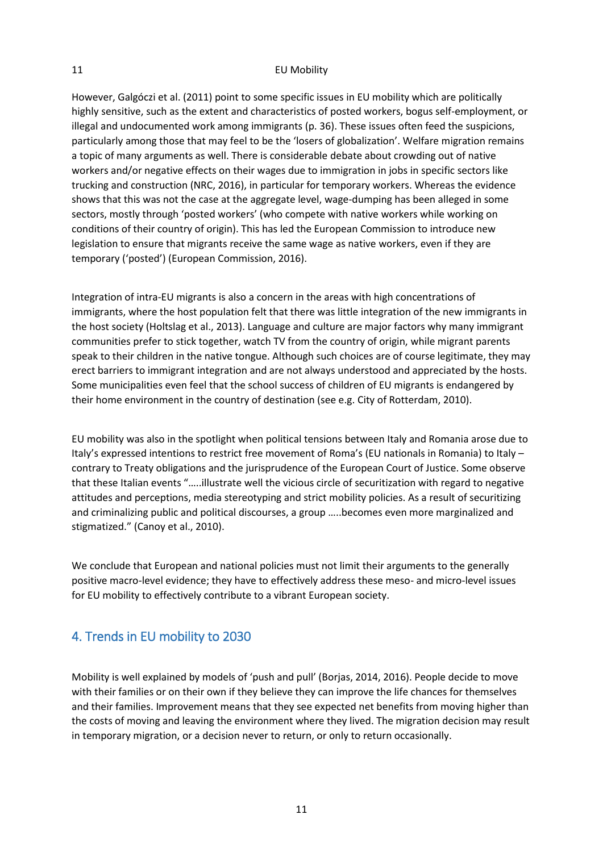However, Galgóczi et al. (2011) point to some specific issues in EU mobility which are politically highly sensitive, such as the extent and characteristics of posted workers, bogus self-employment, or illegal and undocumented work among immigrants (p. 36). These issues often feed the suspicions, particularly among those that may feel to be the 'losers of globalization'. Welfare migration remains a topic of many arguments as well. There is considerable debate about crowding out of native workers and/or negative effects on their wages due to immigration in jobs in specific sectors like trucking and construction (NRC, 2016), in particular for temporary workers. Whereas the evidence shows that this was not the case at the aggregate level, wage-dumping has been alleged in some sectors, mostly through 'posted workers' (who compete with native workers while working on conditions of their country of origin). This has led the European Commission to introduce new legislation to ensure that migrants receive the same wage as native workers, even if they are temporary ('posted') (European Commission, 2016).

Integration of intra-EU migrants is also a concern in the areas with high concentrations of immigrants, where the host population felt that there was little integration of the new immigrants in the host society (Holtslag et al., 2013). Language and culture are major factors why many immigrant communities prefer to stick together, watch TV from the country of origin, while migrant parents speak to their children in the native tongue. Although such choices are of course legitimate, they may erect barriers to immigrant integration and are not always understood and appreciated by the hosts. Some municipalities even feel that the school success of children of EU migrants is endangered by their home environment in the country of destination (see e.g. City of Rotterdam, 2010).

EU mobility was also in the spotlight when political tensions between Italy and Romania arose due to Italy's expressed intentions to restrict free movement of Roma's (EU nationals in Romania) to Italy – contrary to Treaty obligations and the jurisprudence of the European Court of Justice. Some observe that these Italian events "…..illustrate well the vicious circle of securitization with regard to negative attitudes and perceptions, media stereotyping and strict mobility policies. As a result of securitizing and criminalizing public and political discourses, a group …..becomes even more marginalized and stigmatized." (Canoy et al., 2010).

We conclude that European and national policies must not limit their arguments to the generally positive macro-level evidence; they have to effectively address these meso- and micro-level issues for EU mobility to effectively contribute to a vibrant European society.

## 4. Trends in EU mobility to 2030

Mobility is well explained by models of 'push and pull' (Borjas, 2014, 2016). People decide to move with their families or on their own if they believe they can improve the life chances for themselves and their families. Improvement means that they see expected net benefits from moving higher than the costs of moving and leaving the environment where they lived. The migration decision may result in temporary migration, or a decision never to return, or only to return occasionally.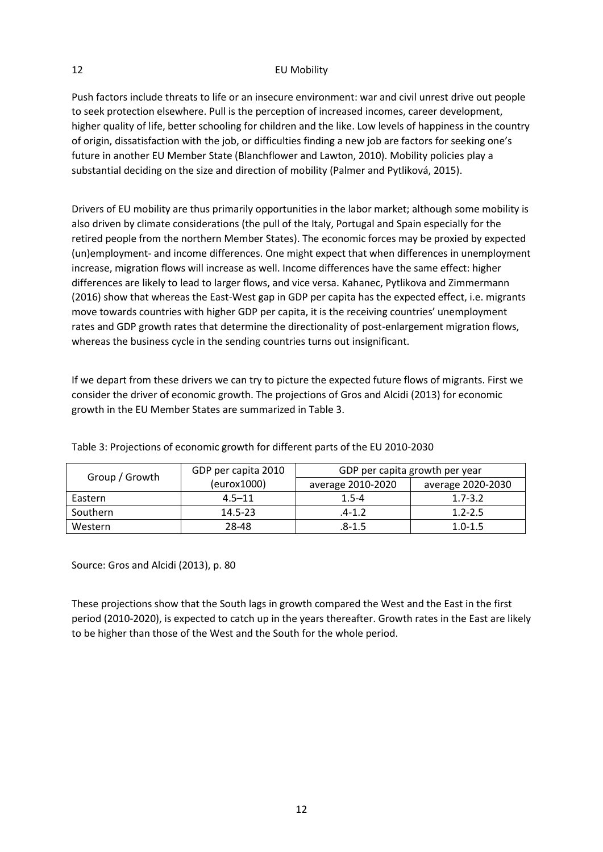Push factors include threats to life or an insecure environment: war and civil unrest drive out people to seek protection elsewhere. Pull is the perception of increased incomes, career development, higher quality of life, better schooling for children and the like. Low levels of happiness in the country of origin, dissatisfaction with the job, or difficulties finding a new job are factors for seeking one's future in another EU Member State (Blanchflower and Lawton, 2010). Mobility policies play a substantial deciding on the size and direction of mobility (Palmer and Pytliková, 2015).

Drivers of EU mobility are thus primarily opportunities in the labor market; although some mobility is also driven by climate considerations (the pull of the Italy, Portugal and Spain especially for the retired people from the northern Member States). The economic forces may be proxied by expected (un)employment- and income differences. One might expect that when differences in unemployment increase, migration flows will increase as well. Income differences have the same effect: higher differences are likely to lead to larger flows, and vice versa. Kahanec, Pytlikova and Zimmermann (2016) show that whereas the East-West gap in GDP per capita has the expected effect, i.e. migrants move towards countries with higher GDP per capita, it is the receiving countries' unemployment rates and GDP growth rates that determine the directionality of post-enlargement migration flows, whereas the business cycle in the sending countries turns out insignificant.

If we depart from these drivers we can try to picture the expected future flows of migrants. First we consider the driver of economic growth. The projections of Gros and Alcidi (2013) for economic growth in the EU Member States are summarized in Table 3.

| Group / Growth | GDP per capita 2010 | GDP per capita growth per year |                   |
|----------------|---------------------|--------------------------------|-------------------|
|                | (eurox1000)         | average 2010-2020              | average 2020-2030 |
| Eastern        | $4.5 - 11$          | $1.5 - 4$                      | $1.7 - 3.2$       |
| Southern       | $14.5 - 23$         | $.4 - 1.2$                     | $1.2 - 2.5$       |
| Western        | 28-48               | .8-1.5                         | $1.0 - 1.5$       |

Table 3: Projections of economic growth for different parts of the EU 2010-2030

Source: Gros and Alcidi (2013), p. 80

These projections show that the South lags in growth compared the West and the East in the first period (2010-2020), is expected to catch up in the years thereafter. Growth rates in the East are likely to be higher than those of the West and the South for the whole period.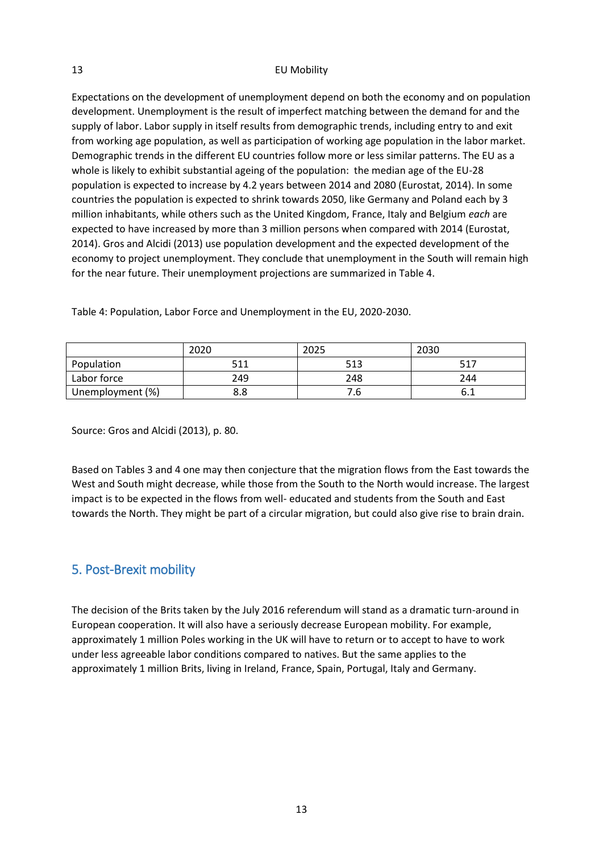Expectations on the development of unemployment depend on both the economy and on population development. Unemployment is the result of imperfect matching between the demand for and the supply of labor. Labor supply in itself results from demographic trends, including entry to and exit from working age population, as well as participation of working age population in the labor market. Demographic trends in the different EU countries follow more or less similar patterns. The EU as a whole is likely to exhibit substantial ageing of the population: the median age of the EU-28 population is expected to increase by 4.2 years between 2014 and 2080 (Eurostat, 2014). In some countries the population is expected to shrink towards 2050, like Germany and Poland each by 3 million inhabitants, while others such as the United Kingdom, France, Italy and Belgium *each* are expected to have increased by more than 3 million persons when compared with 2014 (Eurostat, 2014). Gros and Alcidi (2013) use population development and the expected development of the economy to project unemployment. They conclude that unemployment in the South will remain high for the near future. Their unemployment projections are summarized in Table 4.

|                  | 2020 | 2025 | 2030 |
|------------------|------|------|------|
| Population       | 511  | 513  | 517  |
| Labor force      | 249  | 248  | 244  |
| Unemployment (%) | 8.8  | 7.6  |      |

Table 4: Population, Labor Force and Unemployment in the EU, 2020-2030.

Source: Gros and Alcidi (2013), p. 80.

Based on Tables 3 and 4 one may then conjecture that the migration flows from the East towards the West and South might decrease, while those from the South to the North would increase. The largest impact is to be expected in the flows from well- educated and students from the South and East towards the North. They might be part of a circular migration, but could also give rise to brain drain.

#### 5. Post-Brexit mobility

The decision of the Brits taken by the July 2016 referendum will stand as a dramatic turn-around in European cooperation. It will also have a seriously decrease European mobility. For example, approximately 1 million Poles working in the UK will have to return or to accept to have to work under less agreeable labor conditions compared to natives. But the same applies to the approximately 1 million Brits, living in Ireland, France, Spain, Portugal, Italy and Germany.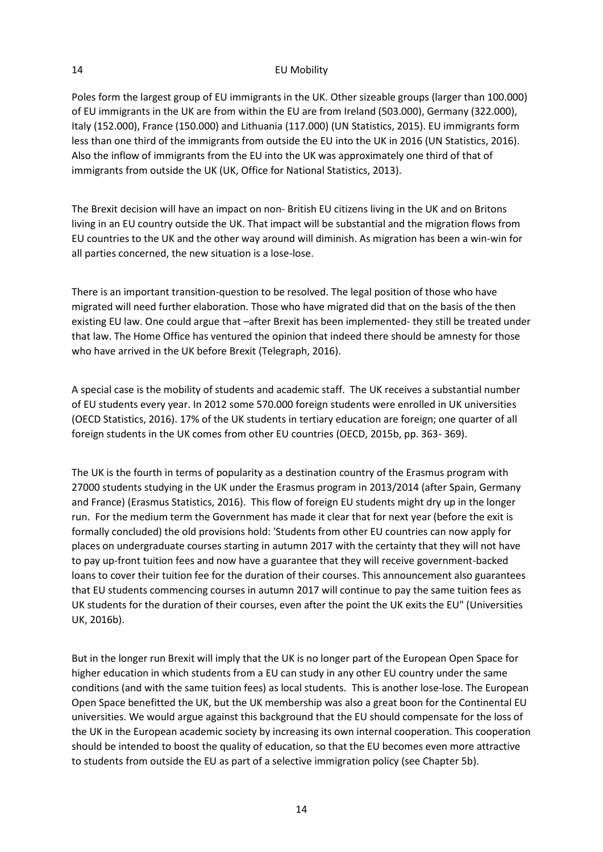Poles form the largest group of EU immigrants in the UK. Other sizeable groups (larger than 100.000) of EU immigrants in the UK are from within the EU are from Ireland (503.000), Germany (322.000), Italy (152.000), France (150.000) and Lithuania (117.000) (UN Statistics, 2015). EU immigrants form less than one third of the immigrants from outside the EU into the UK in 2016 (UN Statistics, 2016). Also the inflow of immigrants from the EU into the UK was approximately one third of that of immigrants from outside the UK (UK, Office for National Statistics, 2013).

The Brexit decision will have an impact on non- British EU citizens living in the UK and on Britons living in an EU country outside the UK. That impact will be substantial and the migration flows from EU countries to the UK and the other way around will diminish. As migration has been a win-win for all parties concerned, the new situation is a lose-lose.

There is an important transition-question to be resolved. The legal position of those who have migrated will need further elaboration. Those who have migrated did that on the basis of the then existing EU law. One could argue that –after Brexit has been implemented- they still be treated under that law. The Home Office has ventured the opinion that indeed there should be amnesty for those who have arrived in the UK before Brexit (Telegraph, 2016).

A special case is the mobility of students and academic staff. The UK receives a substantial number of EU students every year. In 2012 some 570.000 foreign students were enrolled in UK universities (OECD Statistics, 2016). 17% of the UK students in tertiary education are foreign; one quarter of all foreign students in the UK comes from other EU countries (OECD, 2015b, pp. 363- 369).

The UK is the fourth in terms of popularity as a destination country of the Erasmus program with 27000 students studying in the UK under the Erasmus program in 2013/2014 (after Spain, Germany and France) (Erasmus Statistics, 2016). This flow of foreign EU students might dry up in the longer run. For the medium term the Government has made it clear that for next year (before the exit is formally concluded) the old provisions hold: 'Students from other EU countries can now apply for places on undergraduate courses starting in autumn 2017 with the certainty that they will not have to pay up-front tuition fees and now have a guarantee that they will receive government-backed loans to cover their tuition fee for the duration of their courses. This announcement also guarantees that EU students commencing courses in autumn 2017 will continue to pay the same tuition fees as UK students for the duration of their courses, even after the point the UK exits the EU" (Universities UK, 2016b).

But in the longer run Brexit will imply that the UK is no longer part of the European Open Space for higher education in which students from a EU can study in any other EU country under the same conditions (and with the same tuition fees) as local students. This is another lose-lose. The European Open Space benefitted the UK, but the UK membership was also a great boon for the Continental EU universities. We would argue against this background that the EU should compensate for the loss of the UK in the European academic society by increasing its own internal cooperation. This cooperation should be intended to boost the quality of education, so that the EU becomes even more attractive to students from outside the EU as part of a selective immigration policy (see Chapter 5b).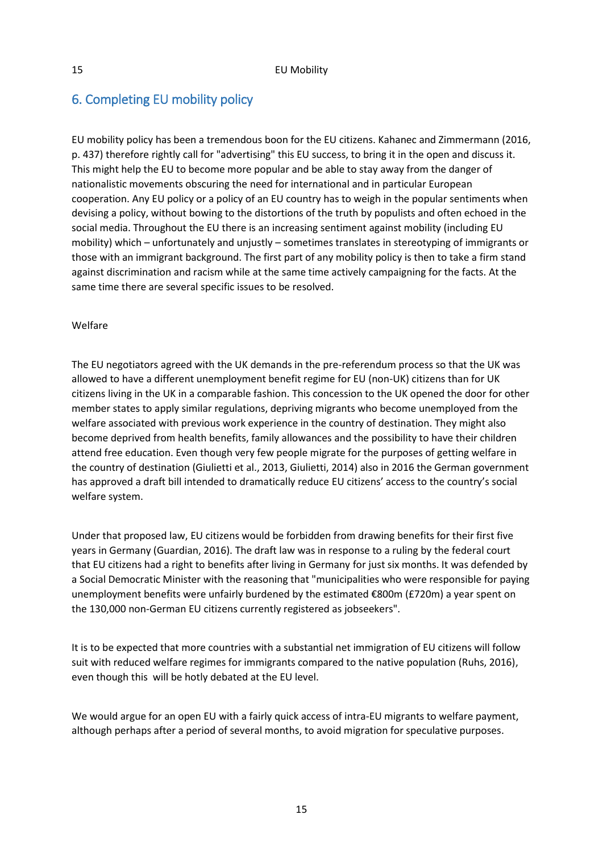## 6. Completing EU mobility policy

EU mobility policy has been a tremendous boon for the EU citizens. Kahanec and Zimmermann (2016, p. 437) therefore rightly call for "advertising" this EU success, to bring it in the open and discuss it. This might help the EU to become more popular and be able to stay away from the danger of nationalistic movements obscuring the need for international and in particular European cooperation. Any EU policy or a policy of an EU country has to weigh in the popular sentiments when devising a policy, without bowing to the distortions of the truth by populists and often echoed in the social media. Throughout the EU there is an increasing sentiment against mobility (including EU mobility) which – unfortunately and unjustly – sometimes translates in stereotyping of immigrants or those with an immigrant background. The first part of any mobility policy is then to take a firm stand against discrimination and racism while at the same time actively campaigning for the facts. At the same time there are several specific issues to be resolved.

#### Welfare

The EU negotiators agreed with the UK demands in the pre-referendum process so that the UK was allowed to have a different unemployment benefit regime for EU (non-UK) citizens than for UK citizens living in the UK in a comparable fashion. This concession to the UK opened the door for other member states to apply similar regulations, depriving migrants who become unemployed from the welfare associated with previous work experience in the country of destination. They might also become deprived from health benefits, family allowances and the possibility to have their children attend free education. Even though very few people migrate for the purposes of getting welfare in the country of destination (Giulietti et al., 2013, Giulietti, 2014) also in 2016 the German government has approved a draft bill intended to dramatically reduce EU citizens' access to the country's social welfare system.

Under that proposed law, EU citizens would be forbidden from drawing benefits for their first five years in Germany (Guardian, 2016). The draft law was in response to a ruling by the federal court that EU citizens had a right to benefits after living in Germany for just six months. It was defended by a Social Democratic Minister with the reasoning that "municipalities who were responsible for paying unemployment benefits were unfairly burdened by the estimated €800m (£720m) a year spent on the 130,000 non-German EU citizens currently registered as jobseekers".

It is to be expected that more countries with a substantial net immigration of EU citizens will follow suit with reduced welfare regimes for immigrants compared to the native population (Ruhs, 2016), even though this will be hotly debated at the EU level.

We would argue for an open EU with a fairly quick access of intra-EU migrants to welfare payment, although perhaps after a period of several months, to avoid migration for speculative purposes.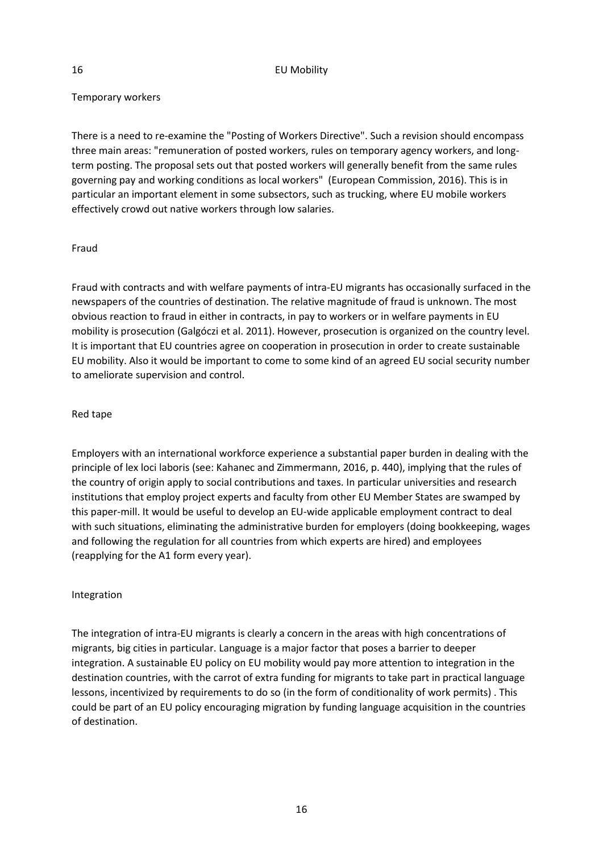#### Temporary workers

There is a need to re-examine the "Posting of Workers Directive". Such a revision should encompass three main areas: "remuneration of posted workers, rules on temporary agency workers, and longterm posting. The proposal sets out that posted workers will generally benefit from the same rules governing pay and working conditions as local workers" (European Commission, 2016). This is in particular an important element in some subsectors, such as trucking, where EU mobile workers effectively crowd out native workers through low salaries.

#### Fraud

Fraud with contracts and with welfare payments of intra-EU migrants has occasionally surfaced in the newspapers of the countries of destination. The relative magnitude of fraud is unknown. The most obvious reaction to fraud in either in contracts, in pay to workers or in welfare payments in EU mobility is prosecution (Galgóczi et al. 2011). However, prosecution is organized on the country level. It is important that EU countries agree on cooperation in prosecution in order to create sustainable EU mobility. Also it would be important to come to some kind of an agreed EU social security number to ameliorate supervision and control.

#### Red tape

Employers with an international workforce experience a substantial paper burden in dealing with the principle of lex loci laboris (see: Kahanec and Zimmermann, 2016, p. 440), implying that the rules of the country of origin apply to social contributions and taxes. In particular universities and research institutions that employ project experts and faculty from other EU Member States are swamped by this paper-mill. It would be useful to develop an EU-wide applicable employment contract to deal with such situations, eliminating the administrative burden for employers (doing bookkeeping, wages and following the regulation for all countries from which experts are hired) and employees (reapplying for the A1 form every year).

#### Integration

The integration of intra-EU migrants is clearly a concern in the areas with high concentrations of migrants, big cities in particular. Language is a major factor that poses a barrier to deeper integration. A sustainable EU policy on EU mobility would pay more attention to integration in the destination countries, with the carrot of extra funding for migrants to take part in practical language lessons, incentivized by requirements to do so (in the form of conditionality of work permits) . This could be part of an EU policy encouraging migration by funding language acquisition in the countries of destination.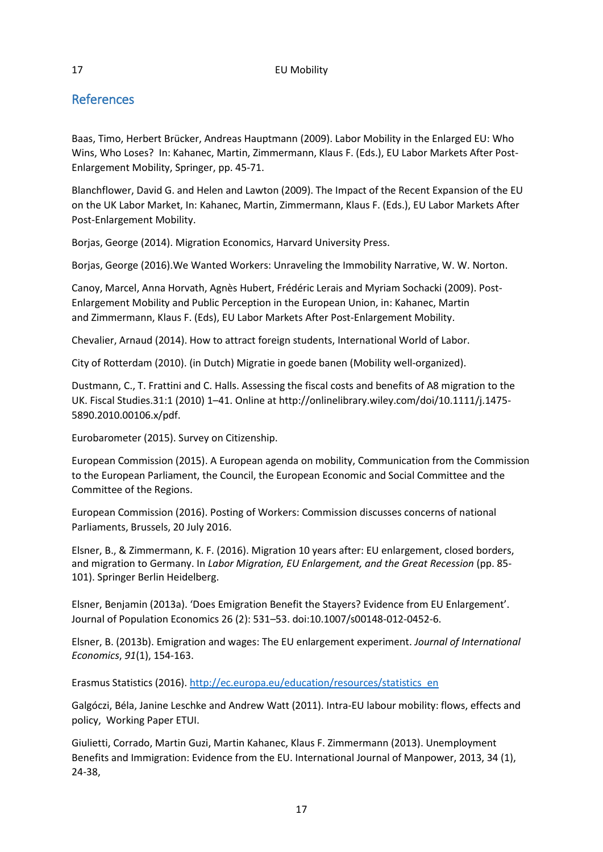## References

Baas, Timo, Herbert Brücker, Andreas Hauptmann (2009). Labor Mobility in the Enlarged EU: Who Wins, Who Loses? In: Kahanec, Martin, Zimmermann, Klaus F. (Eds.)[, EU Labor Markets After Post-](http://link.springer.com/book/10.1007/978-3-642-02242-5)[Enlargement Mobility,](http://link.springer.com/book/10.1007/978-3-642-02242-5) Springer, pp. 45-71.

Blanchflower, David G. and Helen and Lawton (2009). The Impact of the Recent Expansion of the EU on the UK Labor Market, In: Kahanec, Martin, Zimmermann, Klaus F. (Eds.), [EU Labor Markets After](http://link.springer.com/book/10.1007/978-3-642-02242-5)  [Post-Enlargement Mobility.](http://link.springer.com/book/10.1007/978-3-642-02242-5)

Borjas, George (2014). Migration Economics, Harvard University Press.

Borjas, George (2016).We Wanted Workers: Unraveling the Immobility Narrative, W. W. Norton.

Canoy, Marcel, Anna Horvath, Agnès Hubert, Frédéric Lerais and Myriam Sochacki (2009). Post-Enlargement Mobility and Public Perception in the European Union, in: Kahanec, Martin and Zimmermann, Klaus F. (Eds), [EU Labor Markets After Post-Enlargement Mobility.](http://link.springer.com/book/10.1007/978-3-642-02242-5)

Chevalier, Arnaud (2014). How to attract foreign students, International World of Labor.

City of Rotterdam (2010). (in Dutch) Migratie in goede banen (Mobility well-organized).

Dustmann, C., T. Frattini and C. Halls. Assessing the fiscal costs and benefits of A8 migration to the UK. Fiscal Studies.31:1 (2010) 1–41. Online at http://onlinelibrary.wiley.com/doi/10.1111/j.1475- 5890.2010.00106.x/pdf.

Eurobarometer (2015). Survey on Citizenship.

European Commission (2015). A European agenda on mobility, Communication from the Commission to the European Parliament, the Council, the European Economic and Social Committee and the Committee of the Regions.

European Commission (2016). Posting of Workers: Commission discusses concerns of national Parliaments, Brussels, 20 July 2016.

Elsner, B., & Zimmermann, K. F. (2016). Migration 10 years after: EU enlargement, closed borders, and migration to Germany. In *Labor Migration, EU Enlargement, and the Great Recession* (pp. 85- 101). Springer Berlin Heidelberg.

Elsner, Benjamin (2013a). 'Does Emigration Benefit the Stayers? Evidence from EU Enlargement'. Journal of Population Economics 26 (2): 531–53. doi:10.1007/s00148-012-0452-6.

Elsner, B. (2013b). Emigration and wages: The EU enlargement experiment. *Journal of International Economics*, *91*(1), 154-163.

Erasmus Statistics (2016). [http://ec.europa.eu/education/resources/statistics\\_en](http://ec.europa.eu/education/resources/statistics_en)

Galgóczi, Béla, Janine Leschke and Andrew Watt (2011). Intra-EU labour mobility: flows, effects and policy, Working Paper ETUI.

Giulietti, Corrado, Martin Guzi, Martin Kahanec, Klaus F. Zimmermann (2013). Unemployment Benefits and Immigration: Evidence from the EU. International Journal of Manpower, 2013, 34 (1), 24-38,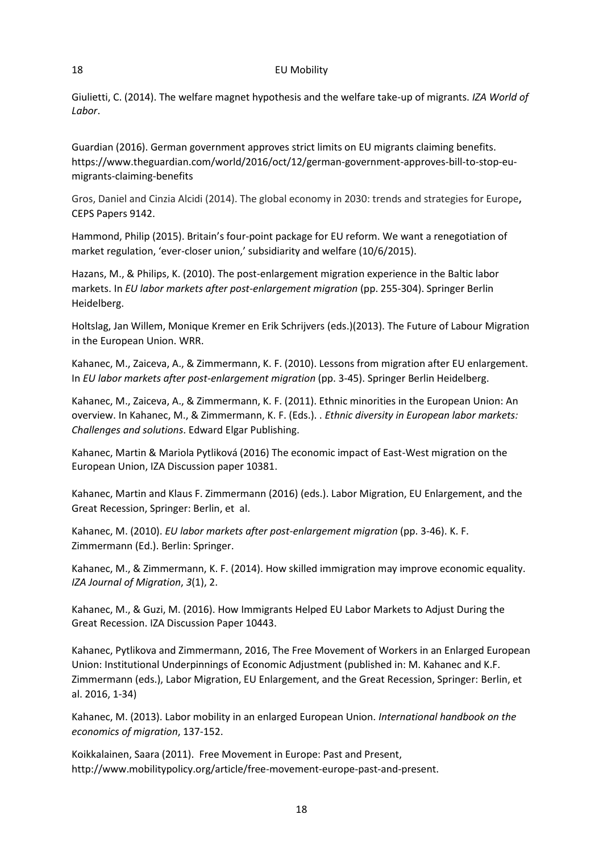Giulietti, C. (2014). The welfare magnet hypothesis and the welfare take-up of migrants. *IZA World of Labor*.

Guardian (2016). German government approves strict limits on EU migrants claiming benefits. https://www.theguardian.com/world/2016/oct/12/german-government-approves-bill-to-stop-eumigrants-claiming-benefits

Gros, Daniel and Cinzia Alcidi (2014). The global economy in 2030: trends and strategies for Europe**,**  CEPS Papers 9142.

Hammond, Philip (2015). Britain's four-point package for EU reform. We want a renegotiation of market regulation, 'ever-closer union,' subsidiarity and welfare (10/6/2015).

Hazans, M., & Philips, K. (2010). The post-enlargement migration experience in the Baltic labor markets. In *EU labor markets after post-enlargement migration* (pp. 255-304). Springer Berlin Heidelberg.

Holtslag, Jan Willem, Monique Kremer en Erik Schrijvers (eds.)(2013). The Future of Labour Migration in the European Union. WRR.

Kahanec, M., Zaiceva, A., & Zimmermann, K. F. (2010). Lessons from migration after EU enlargement. In *EU labor markets after post-enlargement migration* (pp. 3-45). Springer Berlin Heidelberg.

Kahanec, M., Zaiceva, A., & Zimmermann, K. F. (2011). Ethnic minorities in the European Union: An overview. In Kahanec, M., & Zimmermann, K. F. (Eds.). . *Ethnic diversity in European labor markets: Challenges and solutions*. Edward Elgar Publishing.

Kahanec, Martin & Mariola Pytliková (2016) The economic impact of East-West migration on the European Union, IZA Discussion paper 10381.

Kahanec, Martin and Klaus F. Zimmermann (2016) (eds.). Labor Migration, EU Enlargement, and the Great Recession, Springer: Berlin, et al.

Kahanec, M. (2010). *EU labor markets after post-enlargement migration* (pp. 3-46). K. F. Zimmermann (Ed.). Berlin: Springer.

Kahanec, M., & Zimmermann, K. F. (2014). How skilled immigration may improve economic equality. *IZA Journal of Migration*, *3*(1), 2.

Kahanec, M., & Guzi, M. (2016). How Immigrants Helped EU Labor Markets to Adjust During the Great Recession. IZA Discussion Paper 10443.

Kahanec, Pytlikova and Zimmermann, 2016, The Free Movement of Workers in an Enlarged European Union: Institutional Underpinnings of Economic Adjustment (published in: M. Kahanec and K.F. Zimmermann (eds.), Labor Migration, EU Enlargement, and the Great Recession, Springer: Berlin, et al. 2016, 1-34)

Kahanec, M. (2013). Labor mobility in an enlarged European Union. *International handbook on the economics of migration*, 137-152.

Koikkalainen, Saara (2011). Free Movement in Europe: Past and Present, http://www.mobilitypolicy.org/article/free-movement-europe-past-and-present.